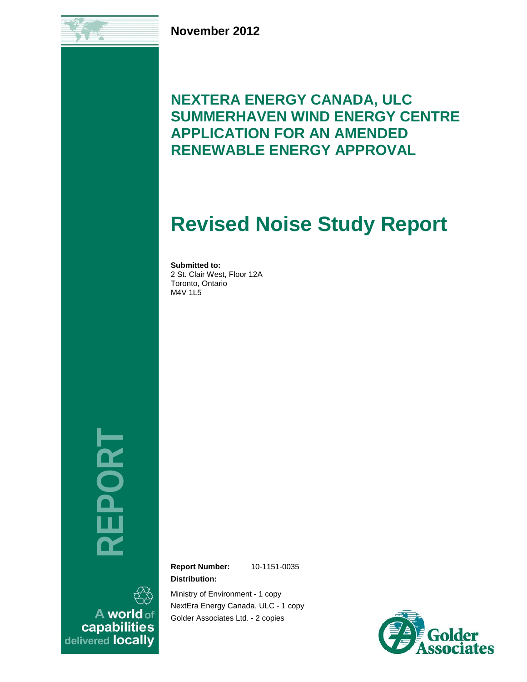**November 2012**

# **NEXTERA ENERGY CANADA, ULC SUMMERHAVEN WIND ENERGY CENTRE APPLICATION FOR AN AMENDED RENEWABLE ENERGY APPROVAL**

# **Revised Noise Study Report**

**Submitted to:** 2 St. Clair West, Floor 12A Toronto, Ontario M4V 1L5

**REPORT**

A world of capabilities delivered locally **Report Number:** 10-1151-0035 **Distribution:**

Ministry of Environment - 1 copy NextEra Energy Canada, ULC - 1 copy Golder Associates Ltd. - 2 copies

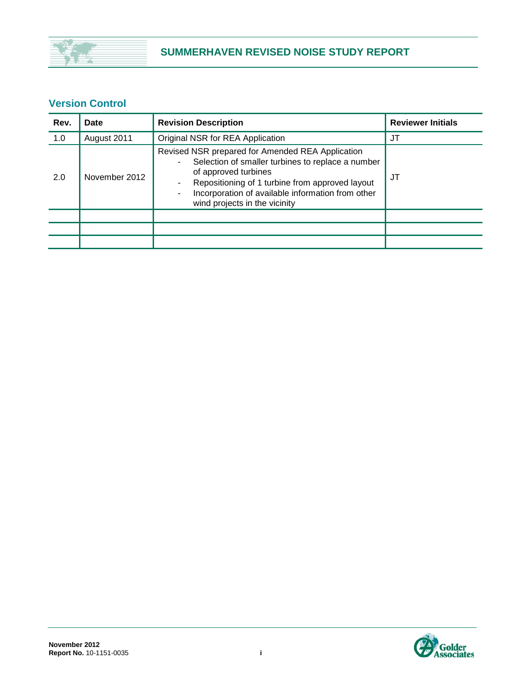

## **Version Control**

| Rev. | Date          | <b>Revision Description</b>                                                                                                                                                                                                                                                                             | <b>Reviewer Initials</b> |
|------|---------------|---------------------------------------------------------------------------------------------------------------------------------------------------------------------------------------------------------------------------------------------------------------------------------------------------------|--------------------------|
| 1.0  | August 2011   | Original NSR for REA Application                                                                                                                                                                                                                                                                        | JT                       |
| 2.0  | November 2012 | Revised NSR prepared for Amended REA Application<br>Selection of smaller turbines to replace a number<br>$\overline{\phantom{a}}$<br>of approved turbines<br>Repositioning of 1 turbine from approved layout<br>۰<br>Incorporation of available information from other<br>wind projects in the vicinity | JT                       |
|      |               |                                                                                                                                                                                                                                                                                                         |                          |
|      |               |                                                                                                                                                                                                                                                                                                         |                          |
|      |               |                                                                                                                                                                                                                                                                                                         |                          |

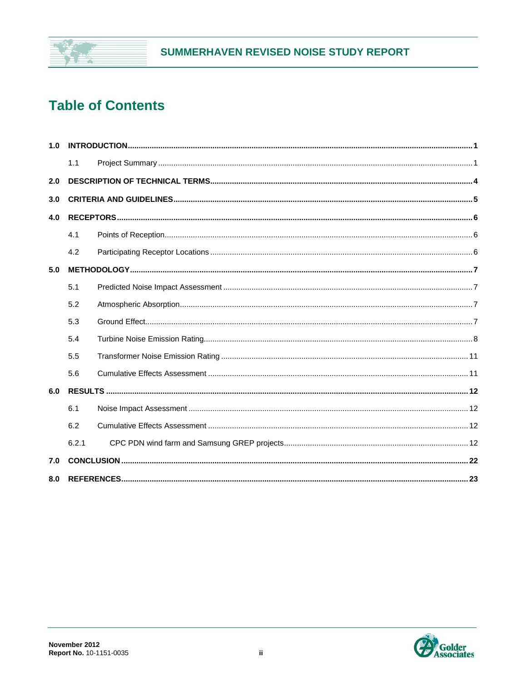

# **Table of Contents**

| 1.0 |       |  |
|-----|-------|--|
|     | 1.1   |  |
| 2.0 |       |  |
| 3.0 |       |  |
| 4.0 |       |  |
|     | 4.1   |  |
|     | 4.2   |  |
| 5.0 |       |  |
|     | 5.1   |  |
|     | 5.2   |  |
|     | 5.3   |  |
|     | 5.4   |  |
|     | 5.5   |  |
|     | 5.6   |  |
| 6.0 |       |  |
|     | 6.1   |  |
|     | 6.2   |  |
|     | 6.2.1 |  |
| 7.0 |       |  |
| 8.0 |       |  |

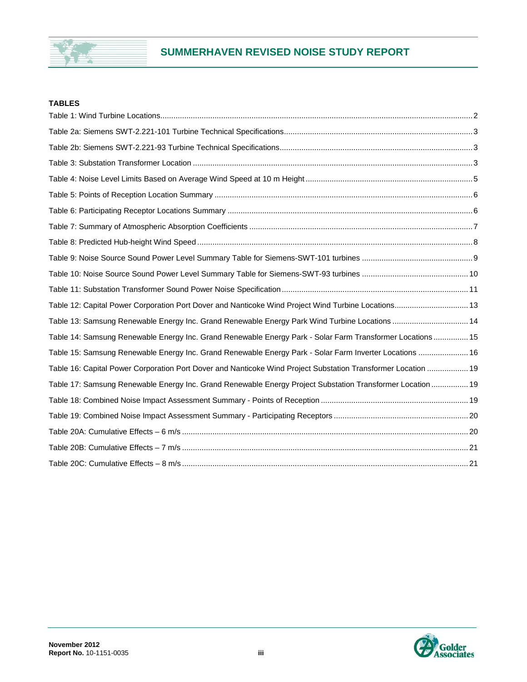

## **SUMMERHAVEN REVISED NOISE STUDY REPORT**

#### **TABLES**

| Table 12: Capital Power Corporation Port Dover and Nanticoke Wind Project Wind Turbine Locations 13           |  |
|---------------------------------------------------------------------------------------------------------------|--|
| Table 13: Samsung Renewable Energy Inc. Grand Renewable Energy Park Wind Turbine Locations  14                |  |
| Table 14: Samsung Renewable Energy Inc. Grand Renewable Energy Park - Solar Farm Transformer Locations 15     |  |
| Table 15: Samsung Renewable Energy Inc. Grand Renewable Energy Park - Solar Farm Inverter Locations  16       |  |
| Table 16: Capital Power Corporation Port Dover and Nanticoke Wind Project Substation Transformer Location  19 |  |
| Table 17: Samsung Renewable Energy Inc. Grand Renewable Energy Project Substation Transformer Location  19    |  |
|                                                                                                               |  |
|                                                                                                               |  |
|                                                                                                               |  |
|                                                                                                               |  |
|                                                                                                               |  |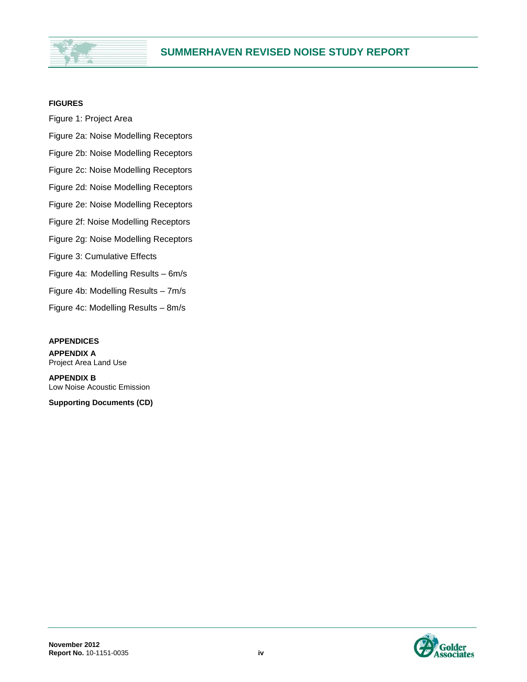

#### **FIGURES**

Figure 1: Project Area Figure 2a: Noise Modelling Receptors Figure 2b: Noise Modelling Receptors Figure 2c: Noise Modelling Receptors Figure 2d: Noise Modelling Receptors Figure 2e: Noise Modelling Receptors Figure 2f: Noise Modelling Receptors Figure 2g: Noise Modelling Receptors Figure 3: Cumulative Effects Figure 4a: Modelling Results – 6m/s Figure 4b: Modelling Results – 7m/s Figure 4c: Modelling Results – 8m/s

#### **APPENDICES**

**APPENDIX A** Project Area Land Use

**APPENDIX B** Low Noise Acoustic Emission

**Supporting Documents (CD)**

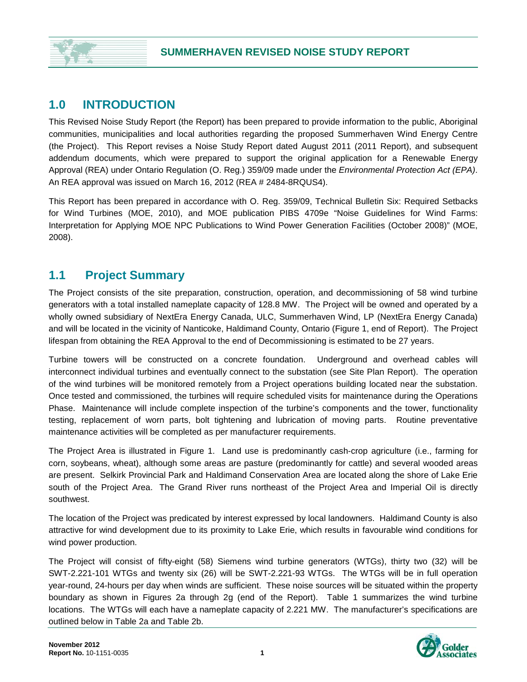## **1.0 INTRODUCTION**

This Revised Noise Study Report (the Report) has been prepared to provide information to the public, Aboriginal communities, municipalities and local authorities regarding the proposed Summerhaven Wind Energy Centre (the Project). This Report revises a Noise Study Report dated August 2011 (2011 Report), and subsequent addendum documents, which were prepared to support the original application for a Renewable Energy Approval (REA) under Ontario Regulation (O. Reg.) 359/09 made under the *Environmental Protection Act (EPA)*. An REA approval was issued on March 16, 2012 (REA # 2484-8RQUS4).

This Report has been prepared in accordance with O. Reg. 359/09, Technical Bulletin Six: Required Setbacks for Wind Turbines (MOE, 2010), and MOE publication PIBS 4709e "Noise Guidelines for Wind Farms: Interpretation for Applying MOE NPC Publications to Wind Power Generation Facilities (October 2008)" (MOE, 2008).

## **1.1 Project Summary**

The Project consists of the site preparation, construction, operation, and decommissioning of 58 wind turbine generators with a total installed nameplate capacity of 128.8 MW. The Project will be owned and operated by a wholly owned subsidiary of NextEra Energy Canada, ULC, Summerhaven Wind, LP (NextEra Energy Canada) and will be located in the vicinity of Nanticoke, Haldimand County, Ontario (Figure 1, end of Report). The Project lifespan from obtaining the REA Approval to the end of Decommissioning is estimated to be 27 years.

Turbine towers will be constructed on a concrete foundation. Underground and overhead cables will interconnect individual turbines and eventually connect to the substation (see Site Plan Report). The operation of the wind turbines will be monitored remotely from a Project operations building located near the substation. Once tested and commissioned, the turbines will require scheduled visits for maintenance during the Operations Phase. Maintenance will include complete inspection of the turbine's components and the tower, functionality testing, replacement of worn parts, bolt tightening and lubrication of moving parts. Routine preventative maintenance activities will be completed as per manufacturer requirements.

The Project Area is illustrated in Figure 1. Land use is predominantly cash-crop agriculture (i.e., farming for corn, soybeans, wheat), although some areas are pasture (predominantly for cattle) and several wooded areas are present. Selkirk Provincial Park and Haldimand Conservation Area are located along the shore of Lake Erie south of the Project Area. The Grand River runs northeast of the Project Area and Imperial Oil is directly southwest.

The location of the Project was predicated by interest expressed by local landowners. Haldimand County is also attractive for wind development due to its proximity to Lake Erie, which results in favourable wind conditions for wind power production.

The Project will consist of fifty-eight (58) Siemens wind turbine generators (WTGs), thirty two (32) will be SWT-2.221-101 WTGs and twenty six (26) will be SWT-2.221-93 WTGs. The WTGs will be in full operation year-round, 24-hours per day when winds are sufficient. These noise sources will be situated within the property boundary as shown in Figures 2a through 2g (end of the Report). Table 1 summarizes the wind turbine locations. The WTGs will each have a nameplate capacity of 2.221 MW. The manufacturer's specifications are outlined below in Table 2a and Table 2b.

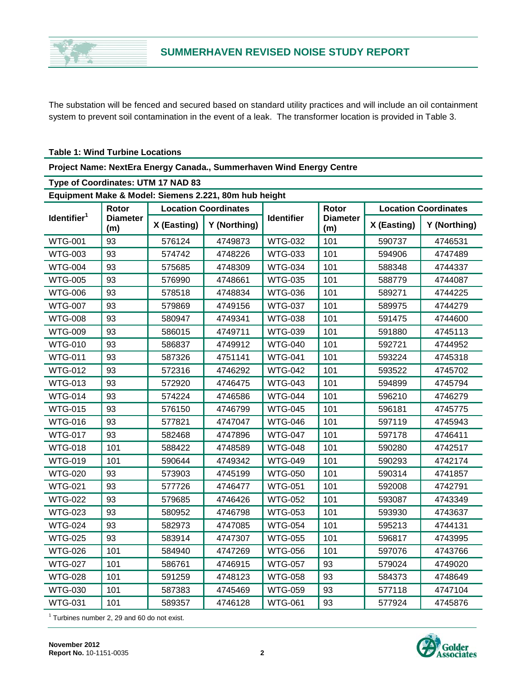

The substation will be fenced and secured based on standard utility practices and will include an oil containment system to prevent soil contamination in the event of a leak. The transformer location is provided in Table 3.

#### **Table 1: Wind Turbine Locations**

|  | Project Name: NextEra Energy Canada., Summerhaven Wind Energy Centre |  |  |
|--|----------------------------------------------------------------------|--|--|
|--|----------------------------------------------------------------------|--|--|

| Type of Coordinates: UTM 17 NAD 83                    |                        |                             |              |                   |                        |                             |              |  |
|-------------------------------------------------------|------------------------|-----------------------------|--------------|-------------------|------------------------|-----------------------------|--------------|--|
| Equipment Make & Model: Siemens 2.221, 80m hub height |                        |                             |              |                   |                        |                             |              |  |
|                                                       | Rotor                  | <b>Location Coordinates</b> |              |                   | <b>Rotor</b>           | <b>Location Coordinates</b> |              |  |
| Identifier <sup>1</sup>                               | <b>Diameter</b><br>(m) | X (Easting)                 | Y (Northing) | <b>Identifier</b> | <b>Diameter</b><br>(m) | X (Easting)                 | Y (Northing) |  |
| <b>WTG-001</b>                                        | 93                     | 576124                      | 4749873      | <b>WTG-032</b>    | 101                    | 590737                      | 4746531      |  |
| <b>WTG-003</b>                                        | 93                     | 574742                      | 4748226      | <b>WTG-033</b>    | 101                    | 594906                      | 4747489      |  |
| <b>WTG-004</b>                                        | 93                     | 575685                      | 4748309      | <b>WTG-034</b>    | 101                    | 588348                      | 4744337      |  |
| <b>WTG-005</b>                                        | 93                     | 576990                      | 4748661      | <b>WTG-035</b>    | 101                    | 588779                      | 4744087      |  |
| <b>WTG-006</b>                                        | 93                     | 578518                      | 4748834      | <b>WTG-036</b>    | 101                    | 589271                      | 4744225      |  |
| <b>WTG-007</b>                                        | 93                     | 579869                      | 4749156      | <b>WTG-037</b>    | 101                    | 589975                      | 4744279      |  |
| <b>WTG-008</b>                                        | 93                     | 580947                      | 4749341      | <b>WTG-038</b>    | 101                    | 591475                      | 4744600      |  |
| <b>WTG-009</b>                                        | 93                     | 586015                      | 4749711      | <b>WTG-039</b>    | 101                    | 591880                      | 4745113      |  |
| <b>WTG-010</b>                                        | 93                     | 586837                      | 4749912      | <b>WTG-040</b>    | 101                    | 592721                      | 4744952      |  |
| WTG-011                                               | 93                     | 587326                      | 4751141      | <b>WTG-041</b>    | 101                    | 593224                      | 4745318      |  |
| <b>WTG-012</b>                                        | 93                     | 572316                      | 4746292      | <b>WTG-042</b>    | 101                    | 593522                      | 4745702      |  |
| <b>WTG-013</b>                                        | 93                     | 572920                      | 4746475      | <b>WTG-043</b>    | 101                    | 594899                      | 4745794      |  |
| <b>WTG-014</b>                                        | 93                     | 574224                      | 4746586      | <b>WTG-044</b>    | 101                    | 596210                      | 4746279      |  |
| <b>WTG-015</b>                                        | 93                     | 576150                      | 4746799      | <b>WTG-045</b>    | 101                    | 596181                      | 4745775      |  |
| <b>WTG-016</b>                                        | 93                     | 577821                      | 4747047      | <b>WTG-046</b>    | 101                    | 597119                      | 4745943      |  |
| <b>WTG-017</b>                                        | 93                     | 582468                      | 4747896      | <b>WTG-047</b>    | 101                    | 597178                      | 4746411      |  |
| <b>WTG-018</b>                                        | 101                    | 588422                      | 4748589      | <b>WTG-048</b>    | 101                    | 590280                      | 4742517      |  |
| WTG-019                                               | 101                    | 590644                      | 4749342      | <b>WTG-049</b>    | 101                    | 590293                      | 4742174      |  |
| <b>WTG-020</b>                                        | 93                     | 573903                      | 4745199      | <b>WTG-050</b>    | 101                    | 590314                      | 4741857      |  |
| <b>WTG-021</b>                                        | 93                     | 577726                      | 4746477      | <b>WTG-051</b>    | 101                    | 592008                      | 4742791      |  |
| <b>WTG-022</b>                                        | 93                     | 579685                      | 4746426      | <b>WTG-052</b>    | 101                    | 593087                      | 4743349      |  |
| <b>WTG-023</b>                                        | 93                     | 580952                      | 4746798      | <b>WTG-053</b>    | 101                    | 593930                      | 4743637      |  |
| <b>WTG-024</b>                                        | 93                     | 582973                      | 4747085      | <b>WTG-054</b>    | 101                    | 595213                      | 4744131      |  |
| <b>WTG-025</b>                                        | 93                     | 583914                      | 4747307      | <b>WTG-055</b>    | 101                    | 596817                      | 4743995      |  |
| <b>WTG-026</b>                                        | 101                    | 584940                      | 4747269      | <b>WTG-056</b>    | 101                    | 597076                      | 4743766      |  |
| <b>WTG-027</b>                                        | 101                    | 586761                      | 4746915      | <b>WTG-057</b>    | 93                     | 579024                      | 4749020      |  |
| <b>WTG-028</b>                                        | 101                    | 591259                      | 4748123      | <b>WTG-058</b>    | 93                     | 584373                      | 4748649      |  |
| <b>WTG-030</b>                                        | 101                    | 587383                      | 4745469      | <b>WTG-059</b>    | 93                     | 577118                      | 4747104      |  |
| <b>WTG-031</b>                                        | 101                    | 589357                      | 4746128      | <b>WTG-061</b>    | 93                     | 577924                      | 4745876      |  |

 $1$  Turbines number 2, 29 and 60 do not exist.

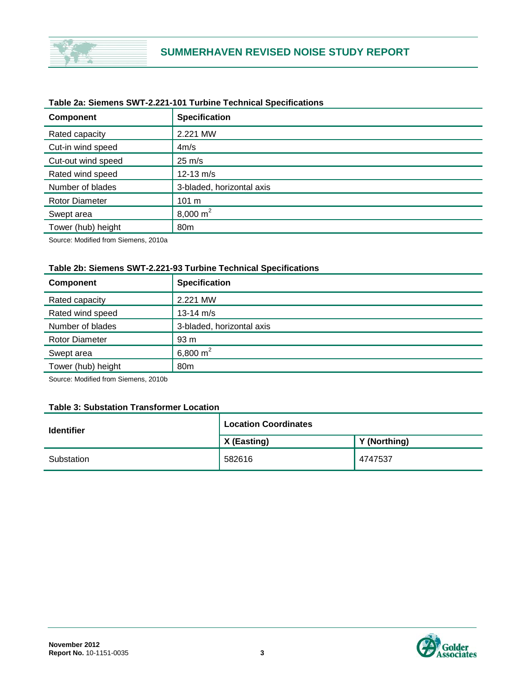

| <b>Component</b>      | <b>Specification</b>      |
|-----------------------|---------------------------|
| Rated capacity        | 2.221 MW                  |
| Cut-in wind speed     | 4m/s                      |
| Cut-out wind speed    | $25 \text{ m/s}$          |
| Rated wind speed      | $12 - 13$ m/s             |
| Number of blades      | 3-bladed, horizontal axis |
| <b>Rotor Diameter</b> | 101 m                     |
| Swept area            | 8,000 $m2$                |
| Tower (hub) height    | 80 <sub>m</sub>           |
|                       |                           |

#### **Table 2a: Siemens SWT-2.221-101 Turbine Technical Specifications**

Source: Modified from Siemens, 2010a

#### **Table 2b: Siemens SWT-2.221-93 Turbine Technical Specifications**

| <b>Component</b>      | <b>Specification</b>      |
|-----------------------|---------------------------|
| Rated capacity        | 2.221 MW                  |
| Rated wind speed      | 13-14 $m/s$               |
| Number of blades      | 3-bladed, horizontal axis |
| <b>Rotor Diameter</b> | 93 <sub>m</sub>           |
| Swept area            | 6,800 $m2$                |
| Tower (hub) height    | 80 <sub>m</sub>           |

Source: Modified from Siemens, 2010b

#### **Table 3: Substation Transformer Location**

| <b>Identifier</b> | <b>Location Coordinates</b> |              |  |  |
|-------------------|-----------------------------|--------------|--|--|
|                   | $\vert$ X (Easting)         | Y (Northing) |  |  |
| Substation        | 582616                      | 4747537      |  |  |

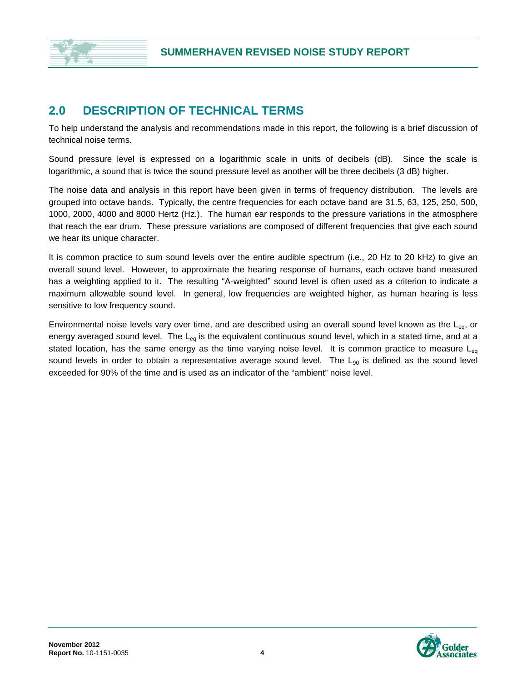

## **2.0 DESCRIPTION OF TECHNICAL TERMS**

To help understand the analysis and recommendations made in this report, the following is a brief discussion of technical noise terms.

Sound pressure level is expressed on a logarithmic scale in units of decibels (dB). Since the scale is logarithmic, a sound that is twice the sound pressure level as another will be three decibels (3 dB) higher.

The noise data and analysis in this report have been given in terms of frequency distribution. The levels are grouped into octave bands. Typically, the centre frequencies for each octave band are 31.5, 63, 125, 250, 500, 1000, 2000, 4000 and 8000 Hertz (Hz.). The human ear responds to the pressure variations in the atmosphere that reach the ear drum. These pressure variations are composed of different frequencies that give each sound we hear its unique character.

It is common practice to sum sound levels over the entire audible spectrum (i.e., 20 Hz to 20 kHz) to give an overall sound level. However, to approximate the hearing response of humans, each octave band measured has a weighting applied to it. The resulting "A-weighted" sound level is often used as a criterion to indicate a maximum allowable sound level. In general, low frequencies are weighted higher, as human hearing is less sensitive to low frequency sound.

Environmental noise levels vary over time, and are described using an overall sound level known as the  $L_{eq}$ , or energy averaged sound level. The  $L_{eq}$  is the equivalent continuous sound level, which in a stated time, and at a stated location, has the same energy as the time varying noise level. It is common practice to measure  $L_{eq}$ sound levels in order to obtain a representative average sound level. The  $L_{90}$  is defined as the sound level exceeded for 90% of the time and is used as an indicator of the "ambient" noise level.

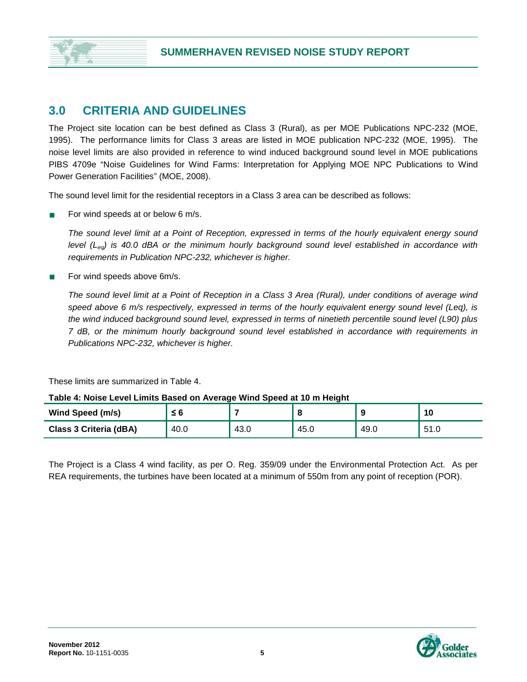

## **3.0 CRITERIA AND GUIDELINES**

The Project site location can be best defined as Class 3 (Rural), as per MOE Publications NPC-232 (MOE, 1995). The performance limits for Class 3 areas are listed in MOE publication NPC-232 (MOE, 1995). The noise level limits are also provided in reference to wind induced background sound level in MOE publications PIBS 4709e "Noise Guidelines for Wind Farms: Interpretation for Applying MOE NPC Publications to Wind Power Generation Facilities" (MOE, 2008).

The sound level limit for the residential receptors in a Class 3 area can be described as follows:

For wind speeds at or below  $6 \text{ m/s}$ .

*The sound level limit at a Point of Reception, expressed in terms of the hourly equivalent energy sound level* (L<sub>eg</sub>) is 40.0 dBA or the minimum hourly background sound level established in accordance with *requirements in Publication NPC-232, whichever is higher.*

For wind speeds above 6m/s.

*The sound level limit at a Point of Reception in a Class 3 Area (Rural), under conditions of average wind speed above 6 m/s respectively, expressed in terms of the hourly equivalent energy sound level (Leq), is the wind induced background sound level, expressed in terms of ninetieth percentile sound level (L90) plus 7 dB, or the minimum hourly background sound level established in accordance with requirements in Publications NPC-232, whichever is higher.*

These limits are summarized in Table 4.

#### **Table 4: Noise Level Limits Based on Average Wind Speed at 10 m Height**

| Wind Speed (m/s)       | ≤6   |      |      |      | 10                      |
|------------------------|------|------|------|------|-------------------------|
| Class 3 Criteria (dBA) | 40.0 | 43.0 | 45.0 | 49.0 | E <sub>4</sub><br>∪.ו ∪ |

The Project is a Class 4 wind facility, as per O. Reg. 359/09 under the Environmental Protection Act. As per REA requirements, the turbines have been located at a minimum of 550m from any point of reception (POR).

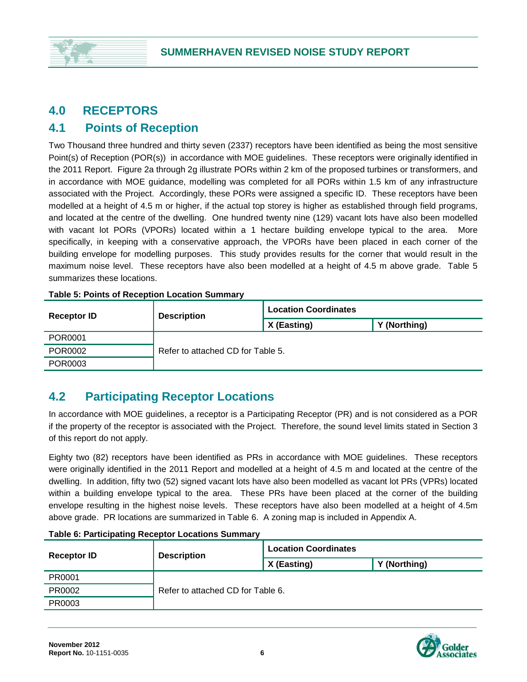# **4.0 RECEPTORS**

## **4.1 Points of Reception**

Two Thousand three hundred and thirty seven (2337) receptors have been identified as being the most sensitive Point(s) of Reception (POR(s)) in accordance with MOE guidelines. These receptors were originally identified in the 2011 Report. Figure 2a through 2g illustrate PORs within 2 km of the proposed turbines or transformers, and in accordance with MOE guidance, modelling was completed for all PORs within 1.5 km of any infrastructure associated with the Project. Accordingly, these PORs were assigned a specific ID. These receptors have been modelled at a height of 4.5 m or higher, if the actual top storey is higher as established through field programs, and located at the centre of the dwelling. One hundred twenty nine (129) vacant lots have also been modelled with vacant lot PORs (VPORs) located within a 1 hectare building envelope typical to the area. More specifically, in keeping with a conservative approach, the VPORs have been placed in each corner of the building envelope for modelling purposes. This study provides results for the corner that would result in the maximum noise level. These receptors have also been modelled at a height of 4.5 m above grade. Table 5 summarizes these locations.

| <b>Receptor ID</b> | <b>Description</b>                | <b>Location Coordinates</b> |              |  |
|--------------------|-----------------------------------|-----------------------------|--------------|--|
|                    |                                   | X (Easting)                 | Y (Northing) |  |
| POR0001            | Refer to attached CD for Table 5. |                             |              |  |
| POR0002            |                                   |                             |              |  |
| POR0003            |                                   |                             |              |  |

#### **Table 5: Points of Reception Location Summary**

# **4.2 Participating Receptor Locations**

In accordance with MOE guidelines, a receptor is a Participating Receptor (PR) and is not considered as a POR if the property of the receptor is associated with the Project. Therefore, the sound level limits stated in Section 3 of this report do not apply.

Eighty two (82) receptors have been identified as PRs in accordance with MOE guidelines. These receptors were originally identified in the 2011 Report and modelled at a height of 4.5 m and located at the centre of the dwelling. In addition, fifty two (52) signed vacant lots have also been modelled as vacant lot PRs (VPRs) located within a building envelope typical to the area. These PRs have been placed at the corner of the building envelope resulting in the highest noise levels. These receptors have also been modelled at a height of 4.5m above grade. PR locations are summarized in Table 6. A zoning map is included in Appendix A.

| <b>Receptor ID</b> | <b>Description</b> | <b>Location Coordinates</b>       |              |  |  |
|--------------------|--------------------|-----------------------------------|--------------|--|--|
|                    |                    | X (Easting)                       | Y (Northing) |  |  |
| PR0001             |                    |                                   |              |  |  |
| PR0002             |                    | Refer to attached CD for Table 6. |              |  |  |
| PR0003             |                    |                                   |              |  |  |

#### **Table 6: Participating Receptor Locations Summary**

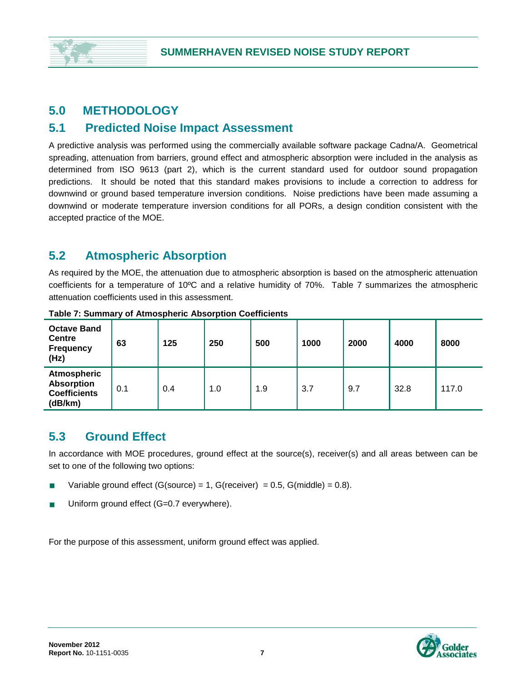# **5.0 METHODOLOGY**

## **5.1 Predicted Noise Impact Assessment**

A predictive analysis was performed using the commercially available software package Cadna/A. Geometrical spreading, attenuation from barriers, ground effect and atmospheric absorption were included in the analysis as determined from ISO 9613 (part 2), which is the current standard used for outdoor sound propagation predictions. It should be noted that this standard makes provisions to include a correction to address for downwind or ground based temperature inversion conditions. Noise predictions have been made assuming a downwind or moderate temperature inversion conditions for all PORs, a design condition consistent with the accepted practice of the MOE.

# **5.2 Atmospheric Absorption**

As required by the MOE, the attenuation due to atmospheric absorption is based on the atmospheric attenuation coefficients for a temperature of 10ºC and a relative humidity of 70%. Table 7 summarizes the atmospheric attenuation coefficients used in this assessment.

| <b>Octave Band</b><br><b>Centre</b><br><b>Frequency</b><br>(Hz)           | 63  | 125 | 250 | 500 | 1000 | 2000 | 4000 | 8000  |
|---------------------------------------------------------------------------|-----|-----|-----|-----|------|------|------|-------|
| <b>Atmospheric</b><br><b>Absorption</b><br><b>Coefficients</b><br>(dB/km) | 0.1 | 0.4 | 1.0 | 1.9 | 3.7  | 9.7  | 32.8 | 117.0 |

**Table 7: Summary of Atmospheric Absorption Coefficients**

# **5.3 Ground Effect**

In accordance with MOE procedures, ground effect at the source(s), receiver(s) and all areas between can be set to one of the following two options:

- Variable ground effect (G(source) = 1, G(receiver) =  $0.5$ , G(middle) =  $0.8$ ).
- Uniform ground effect (G=0.7 everywhere).

For the purpose of this assessment, uniform ground effect was applied.

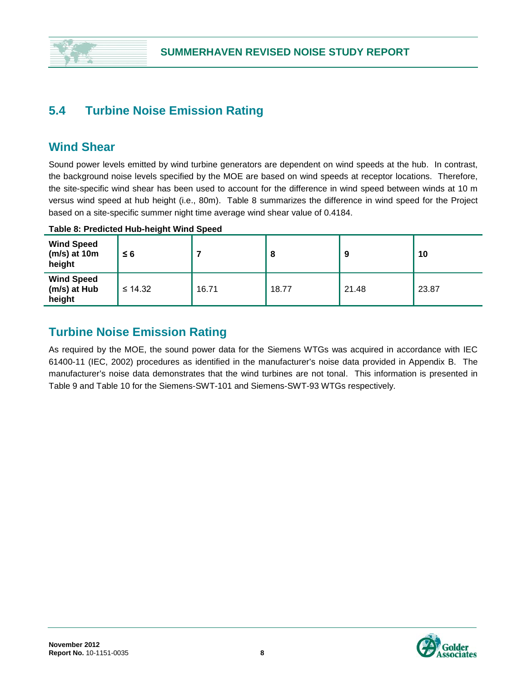

## **5.4 Turbine Noise Emission Rating**

## **Wind Shear**

Sound power levels emitted by wind turbine generators are dependent on wind speeds at the hub. In contrast, the background noise levels specified by the MOE are based on wind speeds at receptor locations. Therefore, the site-specific wind shear has been used to account for the difference in wind speed between winds at 10 m versus wind speed at hub height (i.e., 80m). Table 8 summarizes the difference in wind speed for the Project based on a site-specific summer night time average wind shear value of 0.4184.

#### **Table 8: Predicted Hub-height Wind Speed**

| <b>Wind Speed</b><br>$(m/s)$ at 10m<br>height | $\leq 6$     |       | o     |       | 10    |
|-----------------------------------------------|--------------|-------|-------|-------|-------|
| <b>Wind Speed</b><br>(m/s) at Hub<br>height   | $\leq 14.32$ | 16.71 | 18.77 | 21.48 | 23.87 |

## **Turbine Noise Emission Rating**

As required by the MOE, the sound power data for the Siemens WTGs was acquired in accordance with IEC 61400-11 (IEC, 2002) procedures as identified in the manufacturer's noise data provided in Appendix B. The manufacturer's noise data demonstrates that the wind turbines are not tonal. This information is presented in Table 9 and Table 10 for the Siemens-SWT-101 and Siemens-SWT-93 WTGs respectively.

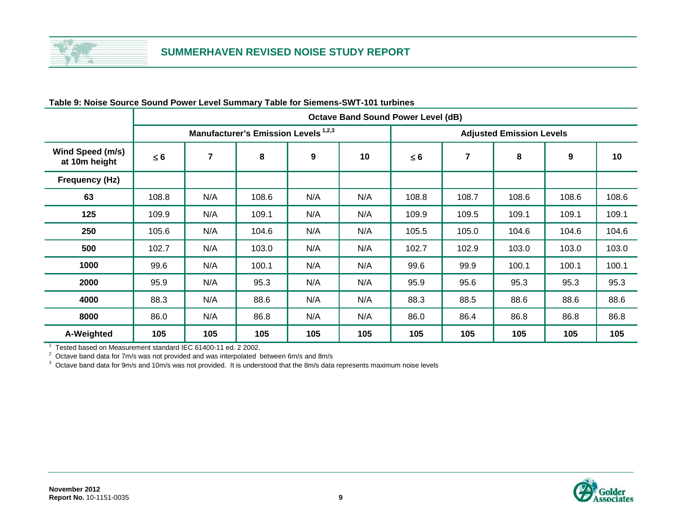

|                                   |                                                 | <b>Octave Band Sound Power Level (dB)</b> |       |     |     |                                 |                |       |                  |       |
|-----------------------------------|-------------------------------------------------|-------------------------------------------|-------|-----|-----|---------------------------------|----------------|-------|------------------|-------|
|                                   | Manufacturer's Emission Levels <sup>1,2,3</sup> |                                           |       |     |     | <b>Adjusted Emission Levels</b> |                |       |                  |       |
| Wind Speed (m/s)<br>at 10m height | $\leq 6$                                        | $\overline{7}$                            | 8     | 9   | 10  | $\leq 6$                        | $\overline{7}$ | 8     | $\boldsymbol{9}$ | 10    |
| <b>Frequency (Hz)</b>             |                                                 |                                           |       |     |     |                                 |                |       |                  |       |
| 63                                | 108.8                                           | N/A                                       | 108.6 | N/A | N/A | 108.8                           | 108.7          | 108.6 | 108.6            | 108.6 |
| 125                               | 109.9                                           | N/A                                       | 109.1 | N/A | N/A | 109.9                           | 109.5          | 109.1 | 109.1            | 109.1 |
| 250                               | 105.6                                           | N/A                                       | 104.6 | N/A | N/A | 105.5                           | 105.0          | 104.6 | 104.6            | 104.6 |
| 500                               | 102.7                                           | N/A                                       | 103.0 | N/A | N/A | 102.7                           | 102.9          | 103.0 | 103.0            | 103.0 |
| 1000                              | 99.6                                            | N/A                                       | 100.1 | N/A | N/A | 99.6                            | 99.9           | 100.1 | 100.1            | 100.1 |
| 2000                              | 95.9                                            | N/A                                       | 95.3  | N/A | N/A | 95.9                            | 95.6           | 95.3  | 95.3             | 95.3  |
| 4000                              | 88.3                                            | N/A                                       | 88.6  | N/A | N/A | 88.3                            | 88.5           | 88.6  | 88.6             | 88.6  |
| 8000                              | 86.0                                            | N/A                                       | 86.8  | N/A | N/A | 86.0                            | 86.4           | 86.8  | 86.8             | 86.8  |
| A-Weighted                        | 105                                             | 105                                       | 105   | 105 | 105 | 105                             | 105            | 105   | 105              | 105   |

#### **Table 9: Noise Source Sound Power Level Summary Table for Siemens-SWT-101 turbines**

1 Tested based on Measurement standard IEC 61400-11 ed. 2 2002.<br><sup>2</sup> Octave band data for 7m/s was not provided and was interpolated between 6m/s and 8m/s<br><sup>3</sup> Octave band data for 9m/s and 10m/s was not provided. It is und

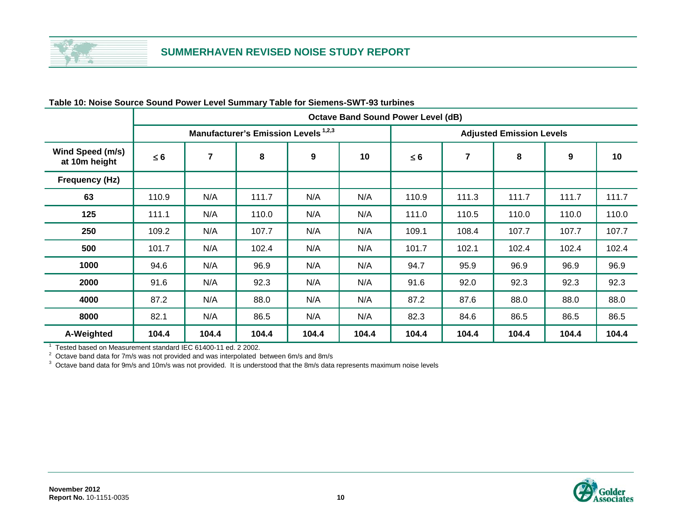

|                                   |                                                 | <b>Octave Band Sound Power Level (dB)</b> |       |       |       |                                 |                |       |                  |       |
|-----------------------------------|-------------------------------------------------|-------------------------------------------|-------|-------|-------|---------------------------------|----------------|-------|------------------|-------|
|                                   | Manufacturer's Emission Levels <sup>1,2,3</sup> |                                           |       |       |       | <b>Adjusted Emission Levels</b> |                |       |                  |       |
| Wind Speed (m/s)<br>at 10m height | $\leq 6$                                        | $\overline{7}$                            | 8     | 9     | 10    | $\leq 6$                        | $\overline{7}$ | 8     | $\boldsymbol{9}$ | 10    |
| Frequency (Hz)                    |                                                 |                                           |       |       |       |                                 |                |       |                  |       |
| 63                                | 110.9                                           | N/A                                       | 111.7 | N/A   | N/A   | 110.9                           | 111.3          | 111.7 | 111.7            | 111.7 |
| 125                               | 111.1                                           | N/A                                       | 110.0 | N/A   | N/A   | 111.0                           | 110.5          | 110.0 | 110.0            | 110.0 |
| 250                               | 109.2                                           | N/A                                       | 107.7 | N/A   | N/A   | 109.1                           | 108.4          | 107.7 | 107.7            | 107.7 |
| 500                               | 101.7                                           | N/A                                       | 102.4 | N/A   | N/A   | 101.7                           | 102.1          | 102.4 | 102.4            | 102.4 |
| 1000                              | 94.6                                            | N/A                                       | 96.9  | N/A   | N/A   | 94.7                            | 95.9           | 96.9  | 96.9             | 96.9  |
| 2000                              | 91.6                                            | N/A                                       | 92.3  | N/A   | N/A   | 91.6                            | 92.0           | 92.3  | 92.3             | 92.3  |
| 4000                              | 87.2                                            | N/A                                       | 88.0  | N/A   | N/A   | 87.2                            | 87.6           | 88.0  | 88.0             | 88.0  |
| 8000                              | 82.1                                            | N/A                                       | 86.5  | N/A   | N/A   | 82.3                            | 84.6           | 86.5  | 86.5             | 86.5  |
| A-Weighted                        | 104.4                                           | 104.4                                     | 104.4 | 104.4 | 104.4 | 104.4                           | 104.4          | 104.4 | 104.4            | 104.4 |

#### **Table 10: Noise Source Sound Power Level Summary Table for Siemens-SWT-93 turbines**

1 Tested based on Measurement standard IEC 61400-11 ed. 2 2002.<br><sup>2</sup> Octave band data for 7m/s was not provided and was interpolated between 6m/s and 8m/s<br><sup>3</sup> Octave band data for 9m/s and 10m/s was not provided. It is und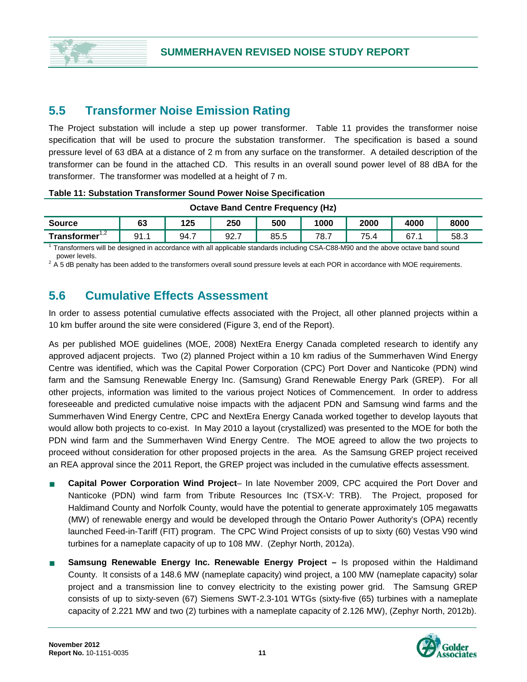

## **5.5 Transformer Noise Emission Rating**

The Project substation will include a step up power transformer. Table 11 provides the transformer noise specification that will be used to procure the substation transformer. The specification is based a sound pressure level of 63 dBA at a distance of 2 m from any surface on the transformer. A detailed description of the transformer can be found in the attached CD. This results in an overall sound power level of 88 dBA for the transformer. The transformer was modelled at a height of 7 m.

#### **Table 11: Substation Transformer Sound Power Noise Specification**

| <b>Octave Band Centre Frequency (Hz)</b> |                                                              |     |     |     |      |      |      |      |  |
|------------------------------------------|--------------------------------------------------------------|-----|-----|-----|------|------|------|------|--|
| <b>Source</b>                            | 63                                                           | 125 | 250 | 500 | 1000 | 2000 | 4000 | 8000 |  |
| Transformer <sup>1,2</sup>               | 75.4<br>92.7<br>67.1<br>91.1<br>94.7<br>85.5<br>78.7<br>58.3 |     |     |     |      |      |      |      |  |

1 Transformers will be designed in accordance with all applicable standards including CSA-C88-M90 and the above octave band sound power levels.

 $2\overline{A}$  5 dB penalty has been added to the transformers overall sound pressure levels at each POR in accordance with MOE requirements.

## **5.6 Cumulative Effects Assessment**

In order to assess potential cumulative effects associated with the Project, all other planned projects within a 10 km buffer around the site were considered (Figure 3, end of the Report).

As per published MOE guidelines (MOE, 2008) NextEra Energy Canada completed research to identify any approved adjacent projects. Two (2) planned Project within a 10 km radius of the Summerhaven Wind Energy Centre was identified, which was the Capital Power Corporation (CPC) Port Dover and Nanticoke (PDN) wind farm and the Samsung Renewable Energy Inc. (Samsung) Grand Renewable Energy Park (GREP). For all other projects, information was limited to the various project Notices of Commencement. In order to address foreseeable and predicted cumulative noise impacts with the adjacent PDN and Samsung wind farms and the Summerhaven Wind Energy Centre, CPC and NextEra Energy Canada worked together to develop layouts that would allow both projects to co-exist. In May 2010 a layout (crystallized) was presented to the MOE for both the PDN wind farm and the Summerhaven Wind Energy Centre. The MOE agreed to allow the two projects to proceed without consideration for other proposed projects in the area. As the Samsung GREP project received an REA approval since the 2011 Report, the GREP project was included in the cumulative effects assessment.

- **Capital Power Corporation Wind Project** In late November 2009, CPC acquired the Port Dover and Nanticoke (PDN) wind farm from Tribute Resources Inc (TSX-V: TRB). The Project, proposed for Haldimand County and Norfolk County, would have the potential to generate approximately 105 megawatts (MW) of renewable energy and would be developed through the Ontario Power Authority's (OPA) recently launched Feed-in-Tariff (FIT) program. The CPC Wind Project consists of up to sixty (60) Vestas V90 wind turbines for a nameplate capacity of up to 108 MW. (Zephyr North, 2012a).
- **Samsung Renewable Energy Inc. Renewable Energy Project –** Is proposed within the Haldimand County. It consists of a 148.6 MW (nameplate capacity) wind project, a 100 MW (nameplate capacity) solar project and a transmission line to convey electricity to the existing power grid. The Samsung GREP consists of up to sixty-seven (67) Siemens SWT-2.3-101 WTGs (sixty-five (65) turbines with a nameplate capacity of 2.221 MW and two (2) turbines with a nameplate capacity of 2.126 MW), (Zephyr North, 2012b).

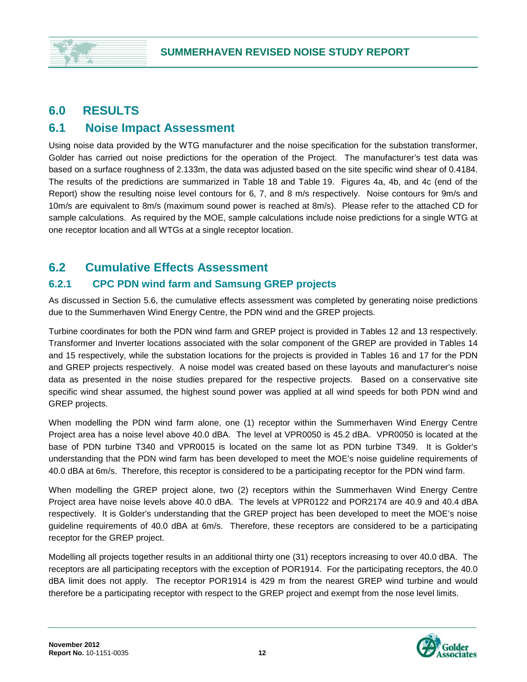## **6.0 RESULTS**

## **6.1 Noise Impact Assessment**

Using noise data provided by the WTG manufacturer and the noise specification for the substation transformer, Golder has carried out noise predictions for the operation of the Project. The manufacturer's test data was based on a surface roughness of 2.133m, the data was adjusted based on the site specific wind shear of 0.4184. The results of the predictions are summarized in Table 18 and Table 19. Figures 4a, 4b, and 4c (end of the Report) show the resulting noise level contours for 6, 7, and 8 m/s respectively. Noise contours for 9m/s and 10m/s are equivalent to 8m/s (maximum sound power is reached at 8m/s). Please refer to the attached CD for sample calculations. As required by the MOE, sample calculations include noise predictions for a single WTG at one receptor location and all WTGs at a single receptor location.

## **6.2 Cumulative Effects Assessment**

## **6.2.1 CPC PDN wind farm and Samsung GREP projects**

As discussed in Section 5.6, the cumulative effects assessment was completed by generating noise predictions due to the Summerhaven Wind Energy Centre, the PDN wind and the GREP projects.

Turbine coordinates for both the PDN wind farm and GREP project is provided in Tables 12 and 13 respectively. Transformer and Inverter locations associated with the solar component of the GREP are provided in Tables 14 and 15 respectively, while the substation locations for the projects is provided in Tables 16 and 17 for the PDN and GREP projects respectively. A noise model was created based on these layouts and manufacturer's noise data as presented in the noise studies prepared for the respective projects. Based on a conservative site specific wind shear assumed, the highest sound power was applied at all wind speeds for both PDN wind and GREP projects.

When modelling the PDN wind farm alone, one (1) receptor within the Summerhaven Wind Energy Centre Project area has a noise level above 40.0 dBA. The level at VPR0050 is 45.2 dBA. VPR0050 is located at the base of PDN turbine T340 and VPR0015 is located on the same lot as PDN turbine T349. It is Golder's understanding that the PDN wind farm has been developed to meet the MOE's noise guideline requirements of 40.0 dBA at 6m/s. Therefore, this receptor is considered to be a participating receptor for the PDN wind farm.

When modelling the GREP project alone, two (2) receptors within the Summerhaven Wind Energy Centre Project area have noise levels above 40.0 dBA. The levels at VPR0122 and POR2174 are 40.9 and 40.4 dBA respectively. It is Golder's understanding that the GREP project has been developed to meet the MOE's noise guideline requirements of 40.0 dBA at 6m/s. Therefore, these receptors are considered to be a participating receptor for the GREP project.

Modelling all projects together results in an additional thirty one (31) receptors increasing to over 40.0 dBA. The receptors are all participating receptors with the exception of POR1914. For the participating receptors, the 40.0 dBA limit does not apply. The receptor POR1914 is 429 m from the nearest GREP wind turbine and would therefore be a participating receptor with respect to the GREP project and exempt from the nose level limits.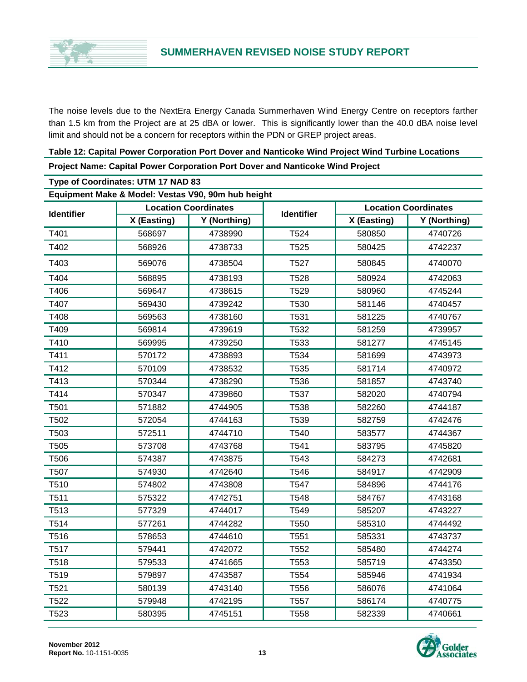

The noise levels due to the NextEra Energy Canada Summerhaven Wind Energy Centre on receptors farther than 1.5 km from the Project are at 25 dBA or lower. This is significantly lower than the 40.0 dBA noise level limit and should not be a concern for receptors within the PDN or GREP project areas.

| Table 12: Capital Power Corporation Port Dover and Nanticoke Wind Project Wind Turbine Locations |
|--------------------------------------------------------------------------------------------------|
| Project Name: Capital Power Corporation Port Dover and Nanticoke Wind Project                    |
| Type of Coordinates: UTM 17 NAD 83                                                               |
| Equipment Make & Model: Vestas V90, 90m hub height                                               |

| Equipment Make & Model: Vestas V90, 90m hub height |             |                             |                   |             |                             |  |  |
|----------------------------------------------------|-------------|-----------------------------|-------------------|-------------|-----------------------------|--|--|
| <b>Identifier</b>                                  |             | <b>Location Coordinates</b> | <b>Identifier</b> |             | <b>Location Coordinates</b> |  |  |
|                                                    | X (Easting) | Y (Northing)                |                   | X (Easting) | Y (Northing)                |  |  |
| T401                                               | 568697      | 4738990                     | T524              | 580850      | 4740726                     |  |  |
| T402                                               | 568926      | 4738733                     | T525              | 580425      | 4742237                     |  |  |
| T403                                               | 569076      | 4738504                     | T527              | 580845      | 4740070                     |  |  |
| T404                                               | 568895      | 4738193                     | T528              | 580924      | 4742063                     |  |  |
| T406                                               | 569647      | 4738615                     | T529              | 580960      | 4745244                     |  |  |
| T407                                               | 569430      | 4739242                     | T530              | 581146      | 4740457                     |  |  |
| T408                                               | 569563      | 4738160                     | T531              | 581225      | 4740767                     |  |  |
| T409                                               | 569814      | 4739619                     | T532              | 581259      | 4739957                     |  |  |
| T410                                               | 569995      | 4739250                     | T533              | 581277      | 4745145                     |  |  |
| T411                                               | 570172      | 4738893                     | T534              | 581699      | 4743973                     |  |  |
| T412                                               | 570109      | 4738532                     | T535              | 581714      | 4740972                     |  |  |
| T413                                               | 570344      | 4738290                     | T536              | 581857      | 4743740                     |  |  |
| T414                                               | 570347      | 4739860                     | T537              | 582020      | 4740794                     |  |  |
| T501                                               | 571882      | 4744905                     | T538              | 582260      | 4744187                     |  |  |
| T502                                               | 572054      | 4744163                     | T539              | 582759      | 4742476                     |  |  |
| T503                                               | 572511      | 4744710                     | T540              | 583577      | 4744367                     |  |  |
| T505                                               | 573708      | 4743768                     | T541              | 583795      | 4745820                     |  |  |
| T506                                               | 574387      | 4743875                     | T543              | 584273      | 4742681                     |  |  |
| T507                                               | 574930      | 4742640                     | T546              | 584917      | 4742909                     |  |  |
| T510                                               | 574802      | 4743808                     | T547              | 584896      | 4744176                     |  |  |
| T511                                               | 575322      | 4742751                     | T548              | 584767      | 4743168                     |  |  |
| T513                                               | 577329      | 4744017                     | T549              | 585207      | 4743227                     |  |  |
| T514                                               | 577261      | 4744282                     | T550              | 585310      | 4744492                     |  |  |
| T516                                               | 578653      | 4744610                     | T551              | 585331      | 4743737                     |  |  |
| T517                                               | 579441      | 4742072                     | T552              | 585480      | 4744274                     |  |  |
| T518                                               | 579533      | 4741665                     | T553              | 585719      | 4743350                     |  |  |
| T519                                               | 579897      | 4743587                     | T554              | 585946      | 4741934                     |  |  |
| T521                                               | 580139      | 4743140                     | T556              | 586076      | 4741064                     |  |  |
| T522                                               | 579948      | 4742195                     | T <sub>557</sub>  | 586174      | 4740775                     |  |  |
| T523                                               | 580395      | 4745151                     | T558              | 582339      | 4740661                     |  |  |

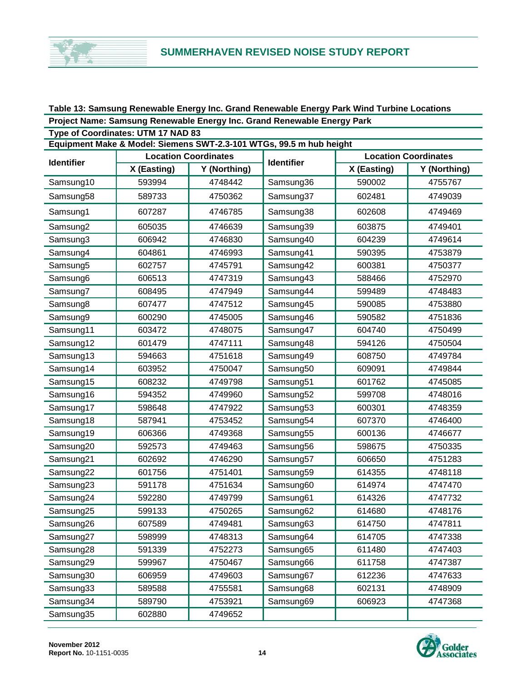#### **Table 13: Samsung Renewable Energy Inc. Grand Renewable Energy Park Wind Turbine Locations Project Name: Samsung Renewable Energy Inc. Grand Renewable Energy Park**

| Type of Coordinates: UTM 17 NAD 83<br>Equipment Make & Model: Siemens SWT-2.3-101 WTGs, 99.5 m hub height |             |                             |                   |             |                             |  |  |  |  |
|-----------------------------------------------------------------------------------------------------------|-------------|-----------------------------|-------------------|-------------|-----------------------------|--|--|--|--|
|                                                                                                           |             | <b>Location Coordinates</b> |                   |             | <b>Location Coordinates</b> |  |  |  |  |
| <b>Identifier</b>                                                                                         | X (Easting) | Y (Northing)                | <b>Identifier</b> | X (Easting) | Y (Northing)                |  |  |  |  |
| Samsung10                                                                                                 | 593994      | 4748442                     | Samsung36         | 590002      | 4755767                     |  |  |  |  |
| Samsung58                                                                                                 | 589733      | 4750362                     | Samsung37         | 602481      | 4749039                     |  |  |  |  |
| Samsung1                                                                                                  | 607287      | 4746785                     | Samsung38         | 602608      | 4749469                     |  |  |  |  |
| Samsung2                                                                                                  | 605035      | 4746639                     | Samsung39         | 603875      | 4749401                     |  |  |  |  |
| Samsung3                                                                                                  | 606942      | 4746830                     | Samsung40         | 604239      | 4749614                     |  |  |  |  |
| Samsung4                                                                                                  | 604861      | 4746993                     | Samsung41         | 590395      | 4753879                     |  |  |  |  |
| Samsung5                                                                                                  | 602757      | 4745791                     | Samsung42         | 600381      | 4750377                     |  |  |  |  |
| Samsung6                                                                                                  | 606513      | 4747319                     | Samsung43         | 588466      | 4752970                     |  |  |  |  |
| Samsung7                                                                                                  | 608495      | 4747949                     | Samsung44         | 599489      | 4748483                     |  |  |  |  |
| Samsung8                                                                                                  | 607477      | 4747512                     | Samsung45         | 590085      | 4753880                     |  |  |  |  |
| Samsung9                                                                                                  | 600290      | 4745005                     | Samsung46         | 590582      | 4751836                     |  |  |  |  |
| Samsung11                                                                                                 | 603472      | 4748075                     | Samsung47         | 604740      | 4750499                     |  |  |  |  |
| Samsung12                                                                                                 | 601479      | 4747111                     | Samsung48         | 594126      | 4750504                     |  |  |  |  |
| Samsung13                                                                                                 | 594663      | 4751618                     | Samsung49         | 608750      | 4749784                     |  |  |  |  |
| Samsung14                                                                                                 | 603952      | 4750047                     | Samsung50         | 609091      | 4749844                     |  |  |  |  |
| Samsung15                                                                                                 | 608232      | 4749798                     | Samsung51         | 601762      | 4745085                     |  |  |  |  |
| Samsung16                                                                                                 | 594352      | 4749960                     | Samsung52         | 599708      | 4748016                     |  |  |  |  |
| Samsung17                                                                                                 | 598648      | 4747922                     | Samsung53         | 600301      | 4748359                     |  |  |  |  |
| Samsung18                                                                                                 | 587941      | 4753452                     | Samsung54         | 607370      | 4746400                     |  |  |  |  |
| Samsung19                                                                                                 | 606366      | 4749368                     | Samsung55         | 600136      | 4746677                     |  |  |  |  |
| Samsung20                                                                                                 | 592573      | 4749463                     | Samsung56         | 598675      | 4750335                     |  |  |  |  |
| Samsung21                                                                                                 | 602692      | 4746290                     | Samsung57         | 606650      | 4751283                     |  |  |  |  |
| Samsung22                                                                                                 | 601756      | 4751401                     | Samsung59         | 614355      | 4748118                     |  |  |  |  |
| Samsung23                                                                                                 | 591178      | 4751634                     | Samsung60         | 614974      | 4747470                     |  |  |  |  |
| Samsung24                                                                                                 | 592280      | 4749799                     | Samsung61         | 614326      | 4747732                     |  |  |  |  |
| Samsung25                                                                                                 | 599133      | 4750265                     | Samsung62         | 614680      | 4748176                     |  |  |  |  |
| Samsung26                                                                                                 | 607589      | 4749481                     | Samsung63         | 614750      | 4747811                     |  |  |  |  |
| Samsung27                                                                                                 | 598999      | 4748313                     | Samsung64         | 614705      | 4747338                     |  |  |  |  |
| Samsung28                                                                                                 | 591339      | 4752273                     | Samsung65         | 611480      | 4747403                     |  |  |  |  |
| Samsung29                                                                                                 | 599967      | 4750467                     | Samsung66         | 611758      | 4747387                     |  |  |  |  |
| Samsung30                                                                                                 | 606959      | 4749603                     | Samsung67         | 612236      | 4747633                     |  |  |  |  |
| Samsung33                                                                                                 | 589588      | 4755581                     | Samsung68         | 602131      | 4748909                     |  |  |  |  |
| Samsung34                                                                                                 | 589790      | 4753921                     | Samsung69         | 606923      | 4747368                     |  |  |  |  |
| Samsung35                                                                                                 | 602880      | 4749652                     |                   |             |                             |  |  |  |  |

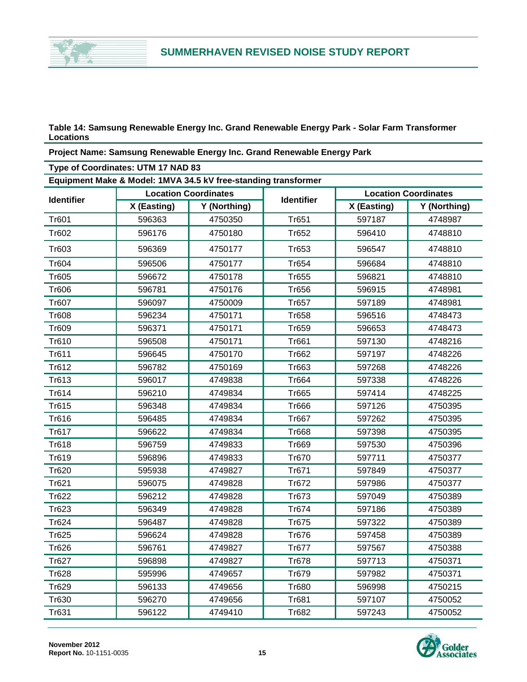

**Table 14: Samsung Renewable Energy Inc. Grand Renewable Energy Park - Solar Farm Transformer Locations**

**Project Name: Samsung Renewable Energy Inc. Grand Renewable Energy Park**

| Type of Coordinates: UTM 17 NAD 83 |             |                                                                |                   |             |                             |  |  |  |
|------------------------------------|-------------|----------------------------------------------------------------|-------------------|-------------|-----------------------------|--|--|--|
|                                    |             | Equipment Make & Model: 1MVA 34.5 kV free-standing transformer |                   |             |                             |  |  |  |
|                                    |             | <b>Location Coordinates</b>                                    |                   |             | <b>Location Coordinates</b> |  |  |  |
| <b>Identifier</b>                  | X (Easting) | Y (Northing)                                                   | <b>Identifier</b> | X (Easting) | Y (Northing)                |  |  |  |
| Tr601                              | 596363      | 4750350                                                        | Tr651             | 597187      | 4748987                     |  |  |  |
| Tr602                              | 596176      | 4750180                                                        | Tr652             | 596410      | 4748810                     |  |  |  |
| Tr603                              | 596369      | 4750177                                                        | Tr653             | 596547      | 4748810                     |  |  |  |
| Tr604                              | 596506      | 4750177                                                        | <b>Tr654</b>      | 596684      | 4748810                     |  |  |  |
| Tr605                              | 596672      | 4750178                                                        | <b>Tr655</b>      | 596821      | 4748810                     |  |  |  |
| Tr606                              | 596781      | 4750176                                                        | Tr656             | 596915      | 4748981                     |  |  |  |
| Tr607                              | 596097      | 4750009                                                        | Tr657             | 597189      | 4748981                     |  |  |  |
| Tr608                              | 596234      | 4750171                                                        | <b>Tr658</b>      | 596516      | 4748473                     |  |  |  |
| Tr609                              | 596371      | 4750171                                                        | Tr659             | 596653      | 4748473                     |  |  |  |
| Tr610                              | 596508      | 4750171                                                        | Tr661             | 597130      | 4748216                     |  |  |  |
| Tr611                              | 596645      | 4750170                                                        | Tr662             | 597197      | 4748226                     |  |  |  |
| Tr612                              | 596782      | 4750169                                                        | Tr663             | 597268      | 4748226                     |  |  |  |
| Tr613                              | 596017      | 4749838                                                        | Tr664             | 597338      | 4748226                     |  |  |  |
| Tr614                              | 596210      | 4749834                                                        | Tr665             | 597414      | 4748225                     |  |  |  |
| Tr615                              | 596348      | 4749834                                                        | Tr666             | 597126      | 4750395                     |  |  |  |
| Tr616                              | 596485      | 4749834                                                        | Tr667             | 597262      | 4750395                     |  |  |  |
| Tr617                              | 596622      | 4749834                                                        | Tr668             | 597398      | 4750395                     |  |  |  |
| Tr618                              | 596759      | 4749833                                                        | <b>Tr669</b>      | 597530      | 4750396                     |  |  |  |
| Tr619                              | 596896      | 4749833                                                        | Tr670             | 597711      | 4750377                     |  |  |  |
| Tr620                              | 595938      | 4749827                                                        | Tr671             | 597849      | 4750377                     |  |  |  |
| Tr621                              | 596075      | 4749828                                                        | Tr672             | 597986      | 4750377                     |  |  |  |
| Tr622                              | 596212      | 4749828                                                        | Tr673             | 597049      | 4750389                     |  |  |  |
| Tr623                              | 596349      | 4749828                                                        | Tr674             | 597186      | 4750389                     |  |  |  |
| Tr624                              | 596487      | 4749828                                                        | Tr675             | 597322      | 4750389                     |  |  |  |
| Tr625                              | 596624      | 4749828                                                        | Tr676             | 597458      | 4750389                     |  |  |  |
| Tr626                              | 596761      | 4749827                                                        | Tr677             | 597567      | 4750388                     |  |  |  |
| Tr627                              | 596898      | 4749827                                                        | Tr678             | 597713      | 4750371                     |  |  |  |
| <b>Tr628</b>                       | 595996      | 4749657                                                        | Tr679             | 597982      | 4750371                     |  |  |  |
| Tr629                              | 596133      | 4749656                                                        | Tr680             | 596998      | 4750215                     |  |  |  |
| Tr630                              | 596270      | 4749656                                                        | Tr681             | 597107      | 4750052                     |  |  |  |
| Tr631                              | 596122      | 4749410                                                        | <b>Tr682</b>      | 597243      | 4750052                     |  |  |  |

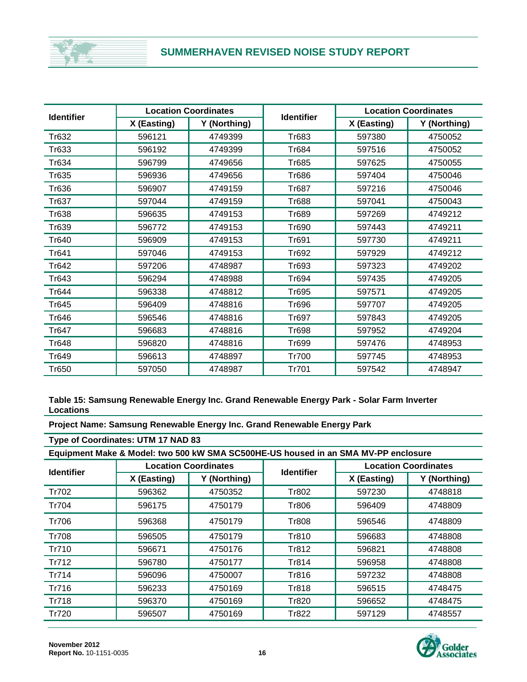### **SUMMERHAVEN REVISED NOISE STUDY REPORT**

| <b>Identifier</b> |             | <b>Location Coordinates</b> | <b>Identifier</b> |             | <b>Location Coordinates</b> |
|-------------------|-------------|-----------------------------|-------------------|-------------|-----------------------------|
|                   | X (Easting) | Y (Northing)                |                   | X (Easting) | Y (Northing)                |
| Tr632             | 596121      | 4749399                     | Tr683             | 597380      | 4750052                     |
| Tr633             | 596192      | 4749399                     | Tr684             | 597516      | 4750052                     |
| Tr634             | 596799      | 4749656                     | Tr685             | 597625      | 4750055                     |
| Tr635             | 596936      | 4749656                     | Tr686             | 597404      | 4750046                     |
| Tr636             | 596907      | 4749159                     | Tr687             | 597216      | 4750046                     |
| Tr637             | 597044      | 4749159                     | Tr688             | 597041      | 4750043                     |
| Tr638             | 596635      | 4749153                     | Tr689             | 597269      | 4749212                     |
| Tr639             | 596772      | 4749153                     | Tr690             | 597443      | 4749211                     |
| Tr640             | 596909      | 4749153                     | Tr691             | 597730      | 4749211                     |
| Tr641             | 597046      | 4749153                     | Tr692             | 597929      | 4749212                     |
| Tr642             | 597206      | 4748987                     | Tr693             | 597323      | 4749202                     |
| Tr643             | 596294      | 4748988                     | Tr694             | 597435      | 4749205                     |
| Tr644             | 596338      | 4748812                     | Tr695             | 597571      | 4749205                     |
| Tr645             | 596409      | 4748816                     | Tr696             | 597707      | 4749205                     |
| Tr646             | 596546      | 4748816                     | Tr697             | 597843      | 4749205                     |
| Tr647             | 596683      | 4748816                     | Tr698             | 597952      | 4749204                     |
| Tr648             | 596820      | 4748816                     | Tr699             | 597476      | 4748953                     |
| Tr649             | 596613      | 4748897                     | Tr700             | 597745      | 4748953                     |
| Tr650             | 597050      | 4748987                     | Tr701             | 597542      | 4748947                     |

**Table 15: Samsung Renewable Energy Inc. Grand Renewable Energy Park - Solar Farm Inverter Locations**

**Project Name: Samsung Renewable Energy Inc. Grand Renewable Energy Park**

**Type of Coordinates: UTM 17 NAD 83**

**Equipment Make & Model: two 500 kW SMA SC500HE-US housed in an SMA MV-PP enclosure**

| <b>Identifier</b> |             | <b>Location Coordinates</b> | <b>Identifier</b> |             | <b>Location Coordinates</b> |
|-------------------|-------------|-----------------------------|-------------------|-------------|-----------------------------|
|                   | X (Easting) | Y (Northing)                |                   | X (Easting) | Y (Northing)                |
| Tr702             | 596362      | 4750352                     | Tr802             | 597230      | 4748818                     |
| Tr704             | 596175      | 4750179                     | Tr806             | 596409      | 4748809                     |
| Tr706             | 596368      | 4750179                     | Tr808             | 596546      | 4748809                     |
| Tr708             | 596505      | 4750179                     | Tr810             | 596683      | 4748808                     |
| Tr710             | 596671      | 4750176                     | Tr812             | 596821      | 4748808                     |
| Tr712             | 596780      | 4750177                     | Tr814             | 596958      | 4748808                     |
| Tr714             | 596096      | 4750007                     | Tr816             | 597232      | 4748808                     |
| Tr716             | 596233      | 4750169                     | Tr818             | 596515      | 4748475                     |
| Tr718             | 596370      | 4750169                     | Tr820             | 596652      | 4748475                     |
| Tr720             | 596507      | 4750169                     | Tr822             | 597129      | 4748557                     |

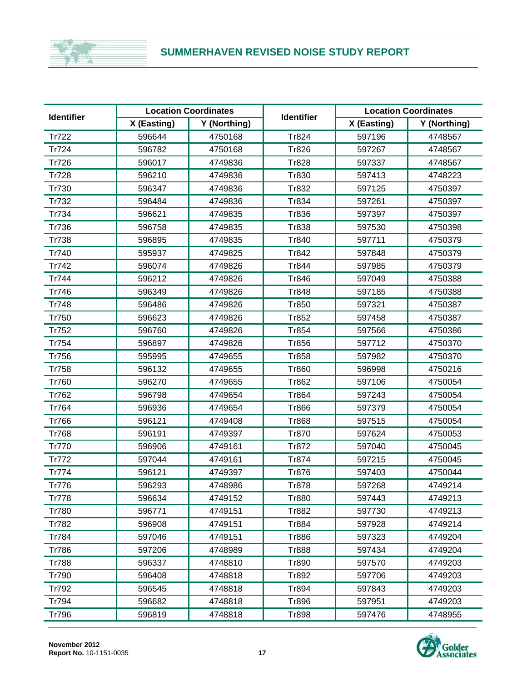### **SUMMERHAVEN REVISED NOISE STUDY REPORT**

| <b>Identifier</b> |             | <b>Location Coordinates</b> |                   | <b>Location Coordinates</b> |              |
|-------------------|-------------|-----------------------------|-------------------|-----------------------------|--------------|
|                   | X (Easting) | Y (Northing)                | <b>Identifier</b> | X (Easting)                 | Y (Northing) |
| Tr722             | 596644      | 4750168                     | Tr824             | 597196                      | 4748567      |
| Tr724             | 596782      | 4750168                     | Tr826             | 597267                      | 4748567      |
| <b>Tr726</b>      | 596017      | 4749836                     | Tr828             | 597337                      | 4748567      |
| <b>Tr728</b>      | 596210      | 4749836                     | Tr830             | 597413                      | 4748223      |
| Tr730             | 596347      | 4749836                     | Tr832             | 597125                      | 4750397      |
| Tr732             | 596484      | 4749836                     | Tr834             | 597261                      | 4750397      |
| Tr734             | 596621      | 4749835                     | Tr836             | 597397                      | 4750397      |
| Tr736             | 596758      | 4749835                     | Tr838             | 597530                      | 4750398      |
| Tr738             | 596895      | 4749835                     | Tr840             | 597711                      | 4750379      |
| Tr740             | 595937      | 4749825                     | Tr842             | 597848                      | 4750379      |
| Tr742             | 596074      | 4749826                     | Tr844             | 597985                      | 4750379      |
| Tr744             | 596212      | 4749826                     | Tr846             | 597049                      | 4750388      |
| Tr746             | 596349      | 4749826                     | Tr848             | 597185                      | 4750388      |
| Tr748             | 596486      | 4749826                     | Tr850             | 597321                      | 4750387      |
| Tr750             | 596623      | 4749826                     | Tr852             | 597458                      | 4750387      |
| Tr752             | 596760      | 4749826                     | Tr854             | 597566                      | 4750386      |
| Tr754             | 596897      | 4749826                     | Tr856             | 597712                      | 4750370      |
| Tr756             | 595995      | 4749655                     | Tr858             | 597982                      | 4750370      |
| <b>Tr758</b>      | 596132      | 4749655                     | Tr860             | 596998                      | 4750216      |
| Tr760             | 596270      | 4749655                     | Tr862             | 597106                      | 4750054      |
| Tr762             | 596798      | 4749654                     | Tr864             | 597243                      | 4750054      |
| Tr764             | 596936      | 4749654                     | Tr866             | 597379                      | 4750054      |
| Tr766             | 596121      | 4749408                     | Tr868             | 597515                      | 4750054      |
| <b>Tr768</b>      | 596191      | 4749397                     | Tr870             | 597624                      | 4750053      |
| Tr770             | 596906      | 4749161                     | Tr872             | 597040                      | 4750045      |
| Tr772             | 597044      | 4749161                     | Tr874             | 597215                      | 4750045      |
| Tr774             | 596121      | 4749397                     | Tr876             | 597403                      | 4750044      |
| Tr776             | 596293      | 4748986                     | <b>Tr878</b>      | 597268                      | 4749214      |
| Tr778             | 596634      | 4749152                     | Tr880             | 597443                      | 4749213      |
| <b>Tr780</b>      | 596771      | 4749151                     | <b>Tr882</b>      | 597730                      | 4749213      |
| Tr782             | 596908      | 4749151                     | Tr884             | 597928                      | 4749214      |
| Tr784             | 597046      | 4749151                     | Tr886             | 597323                      | 4749204      |
| <b>Tr786</b>      | 597206      | 4748989                     | <b>Tr888</b>      | 597434                      | 4749204      |
| <b>Tr788</b>      | 596337      | 4748810                     | Tr890             | 597570                      | 4749203      |
| Tr790             | 596408      | 4748818                     | Tr892             | 597706                      | 4749203      |
| Tr792             | 596545      | 4748818                     | Tr894             | 597843                      | 4749203      |
| Tr794             | 596682      | 4748818                     | Tr896             | 597951                      | 4749203      |
| <b>Tr796</b>      | 596819      | 4748818                     | <b>Tr898</b>      | 597476                      | 4748955      |

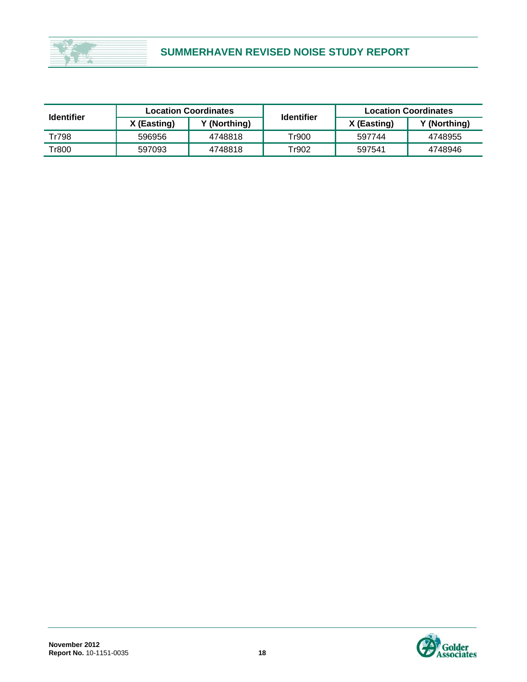

| <b>Identifier</b> |             | <b>Location Coordinates</b> | <b>Identifier</b> | <b>Location Coordinates</b><br>Y (Northing)<br>X (Easting)<br>597744<br>4748955 |         |  |
|-------------------|-------------|-----------------------------|-------------------|---------------------------------------------------------------------------------|---------|--|
|                   | X (Easting) | Y (Northing)                |                   |                                                                                 |         |  |
| Tr798             | 596956      | 4748818                     | Tr900             |                                                                                 |         |  |
| Tr800             | 597093      | 4748818                     | Tr902             | 597541                                                                          | 4748946 |  |

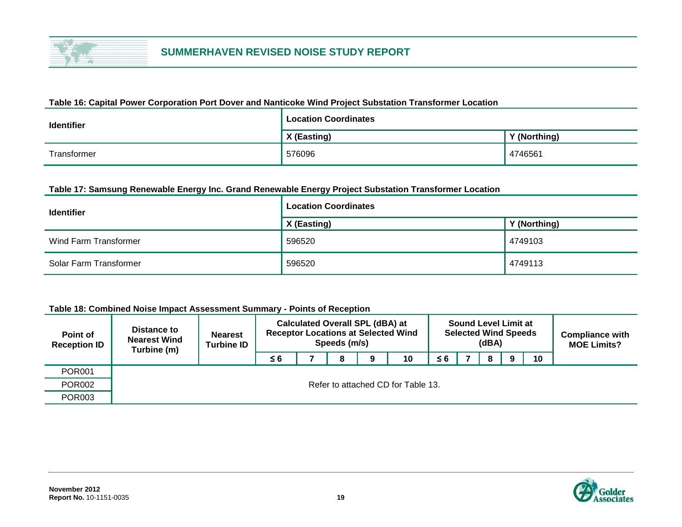

#### **Table 16: Capital Power Corporation Port Dover and Nanticoke Wind Project Substation Transformer Location**

| <b>Identifier</b> | <b>Location Coordinates</b> |              |
|-------------------|-----------------------------|--------------|
|                   | X (Easting)                 | Y (Northing) |
| Transformer       | 576096                      | 4746561      |

#### **Table 17: Samsung Renewable Energy Inc. Grand Renewable Energy Project Substation Transformer Location**

| <b>Identifier</b>      | <b>Location Coordinates</b> |              |  |  |  |  |  |  |
|------------------------|-----------------------------|--------------|--|--|--|--|--|--|
|                        | X (Easting)                 | Y (Northing) |  |  |  |  |  |  |
| Wind Farm Transformer  | 596520                      | 4749103      |  |  |  |  |  |  |
| Solar Farm Transformer | 596520                      | 4749113      |  |  |  |  |  |  |

#### **Table 18: Combined Noise Impact Assessment Summary - Points of Reception**

| Point of<br><b>Reception ID</b> | Distance to<br><b>Nearest Wind</b><br>Turbine (m) | <b>Nearest</b><br><b>Turbine ID</b> | <b>Calculated Overall SPL (dBA) at</b><br><b>Receptor Locations at Selected Wind</b> | <b>Sound Level Limit at</b><br><b>Selected Wind Speeds</b><br>(dBA) |   |  |    |    |  | <b>Compliance with</b><br><b>MOE Limits?</b> |   |  |    |  |
|---------------------------------|---------------------------------------------------|-------------------------------------|--------------------------------------------------------------------------------------|---------------------------------------------------------------------|---|--|----|----|--|----------------------------------------------|---|--|----|--|
|                                 |                                                   |                                     | ≤ 6                                                                                  |                                                                     | 8 |  | 10 | ≤6 |  | 8                                            | q |  | 10 |  |
| <b>POR001</b>                   |                                                   |                                     |                                                                                      |                                                                     |   |  |    |    |  |                                              |   |  |    |  |
| <b>POR002</b>                   | Refer to attached CD for Table 13.                |                                     |                                                                                      |                                                                     |   |  |    |    |  |                                              |   |  |    |  |
| <b>POR003</b>                   |                                                   |                                     |                                                                                      |                                                                     |   |  |    |    |  |                                              |   |  |    |  |

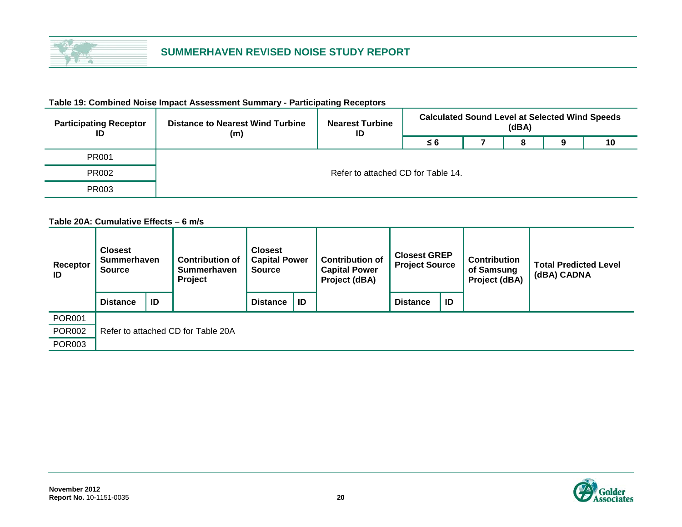

| <b>Participating Receptor</b><br>ID | <b>Distance to Nearest Wind Turbine</b><br>(m) | <b>Nearest Turbine</b><br>ID | <b>Calculated Sound Level at Selected Wind Speeds</b><br>(dBA) |  |   |  |    |  |  |  |
|-------------------------------------|------------------------------------------------|------------------------------|----------------------------------------------------------------|--|---|--|----|--|--|--|
|                                     |                                                |                              | ≤ 6                                                            |  | 8 |  | 10 |  |  |  |
| PR001                               |                                                |                              |                                                                |  |   |  |    |  |  |  |
| <b>PR002</b>                        | Refer to attached CD for Table 14.             |                              |                                                                |  |   |  |    |  |  |  |
| PR003                               |                                                |                              |                                                                |  |   |  |    |  |  |  |

#### **Table 19: Combined Noise Impact Assessment Summary - Participating Receptors**

**Table 20A: Cumulative Effects – 6 m/s**

| Receptor<br>ID | <b>Closest</b><br><b>Summerhaven</b><br><b>Source</b> |                                    | <b>Contribution of</b><br><b>Summerhaven</b><br>Project | <b>Closest</b><br><b>Capital Power</b><br><b>Source</b> |    | <b>Contribution of</b><br><b>Capital Power</b><br>Project (dBA) | <b>Closest GREP</b><br><b>Project Source</b> |    | <b>Contribution</b><br>of Samsung<br>Project (dBA) | <b>Total Predicted Level</b><br>(dBA) CADNA |  |  |  |
|----------------|-------------------------------------------------------|------------------------------------|---------------------------------------------------------|---------------------------------------------------------|----|-----------------------------------------------------------------|----------------------------------------------|----|----------------------------------------------------|---------------------------------------------|--|--|--|
|                | <b>Distance</b>                                       | ID                                 |                                                         | <b>Distance</b>                                         | ID |                                                                 | <b>Distance</b>                              | ID |                                                    |                                             |  |  |  |
| <b>POR001</b>  |                                                       |                                    |                                                         |                                                         |    |                                                                 |                                              |    |                                                    |                                             |  |  |  |
| <b>POR002</b>  |                                                       | Refer to attached CD for Table 20A |                                                         |                                                         |    |                                                                 |                                              |    |                                                    |                                             |  |  |  |
| <b>POR003</b>  |                                                       |                                    |                                                         |                                                         |    |                                                                 |                                              |    |                                                    |                                             |  |  |  |

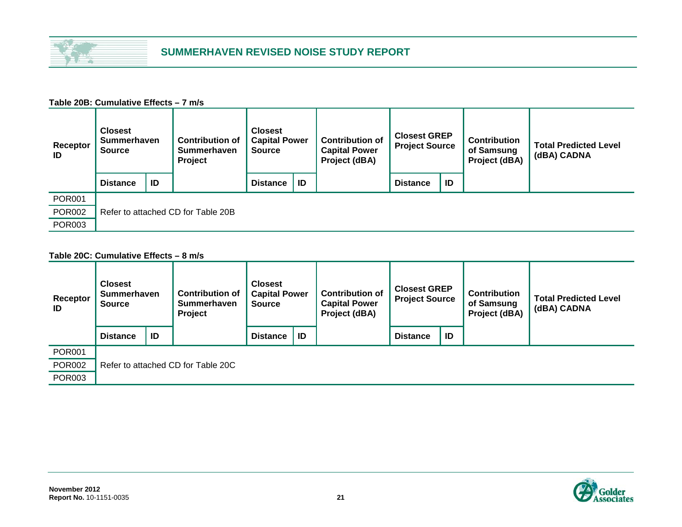

#### **Table 20B: Cumulative Effects – 7 m/s**

| Receptor<br>ID | <b>Closest</b><br><b>Summerhaven</b><br><b>Source</b> |                                    | <b>Contribution of</b><br><b>Summerhaven</b><br>Project | <b>Closest</b><br><b>Capital Power</b><br><b>Source</b> |    | <b>Contribution of</b><br><b>Capital Power</b><br>Project (dBA) | <b>Closest GREP</b><br><b>Project Source</b> |    | <b>Contribution</b><br>of Samsung<br>Project (dBA) | <b>Total Predicted Level</b><br>(dBA) CADNA |  |  |
|----------------|-------------------------------------------------------|------------------------------------|---------------------------------------------------------|---------------------------------------------------------|----|-----------------------------------------------------------------|----------------------------------------------|----|----------------------------------------------------|---------------------------------------------|--|--|
|                | <b>Distance</b>                                       | ID                                 |                                                         | <b>Distance</b>                                         | ID |                                                                 | <b>Distance</b>                              | ID |                                                    |                                             |  |  |
| <b>POR001</b>  |                                                       |                                    |                                                         |                                                         |    |                                                                 |                                              |    |                                                    |                                             |  |  |
| <b>POR002</b>  |                                                       | Refer to attached CD for Table 20B |                                                         |                                                         |    |                                                                 |                                              |    |                                                    |                                             |  |  |
| <b>POR003</b>  |                                                       |                                    |                                                         |                                                         |    |                                                                 |                                              |    |                                                    |                                             |  |  |

#### **Table 20C: Cumulative Effects – 8 m/s**

| Receptor<br>ID | <b>Closest</b><br><b>Summerhaven</b><br><b>Source</b> |                                    | <b>Contribution of</b><br><b>Summerhaven</b><br>Project | <b>Closest</b><br><b>Capital Power</b><br><b>Source</b> |    | <b>Contribution of</b><br><b>Capital Power</b><br>Project (dBA) | <b>Closest GREP</b><br><b>Project Source</b> |    | <b>Contribution</b><br>of Samsung<br>Project (dBA) | <b>Total Predicted Level</b><br>(dBA) CADNA |  |  |
|----------------|-------------------------------------------------------|------------------------------------|---------------------------------------------------------|---------------------------------------------------------|----|-----------------------------------------------------------------|----------------------------------------------|----|----------------------------------------------------|---------------------------------------------|--|--|
|                | <b>Distance</b>                                       | ID                                 |                                                         | <b>Distance</b>                                         | ID |                                                                 | <b>Distance</b>                              | ID |                                                    |                                             |  |  |
| <b>POR001</b>  |                                                       |                                    |                                                         |                                                         |    |                                                                 |                                              |    |                                                    |                                             |  |  |
| <b>POR002</b>  |                                                       | Refer to attached CD for Table 20C |                                                         |                                                         |    |                                                                 |                                              |    |                                                    |                                             |  |  |
| <b>POR003</b>  |                                                       |                                    |                                                         |                                                         |    |                                                                 |                                              |    |                                                    |                                             |  |  |

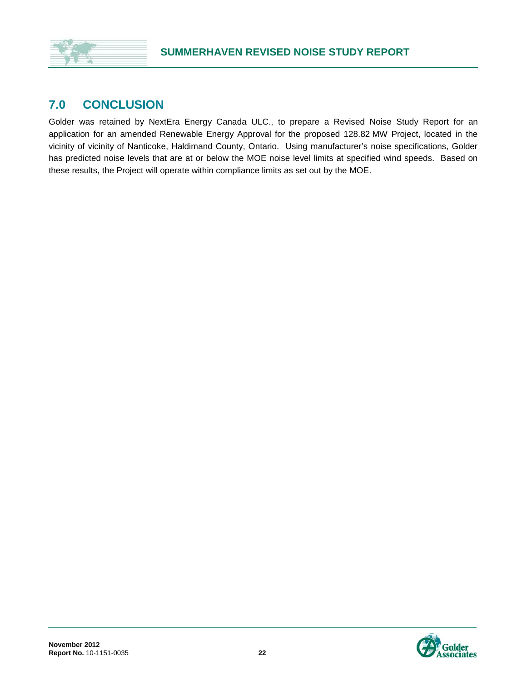## **7.0 CONCLUSION**

Golder was retained by NextEra Energy Canada ULC., to prepare a Revised Noise Study Report for an application for an amended Renewable Energy Approval for the proposed 128.82 MW Project, located in the vicinity of vicinity of Nanticoke, Haldimand County, Ontario. Using manufacturer's noise specifications, Golder has predicted noise levels that are at or below the MOE noise level limits at specified wind speeds. Based on these results, the Project will operate within compliance limits as set out by the MOE.

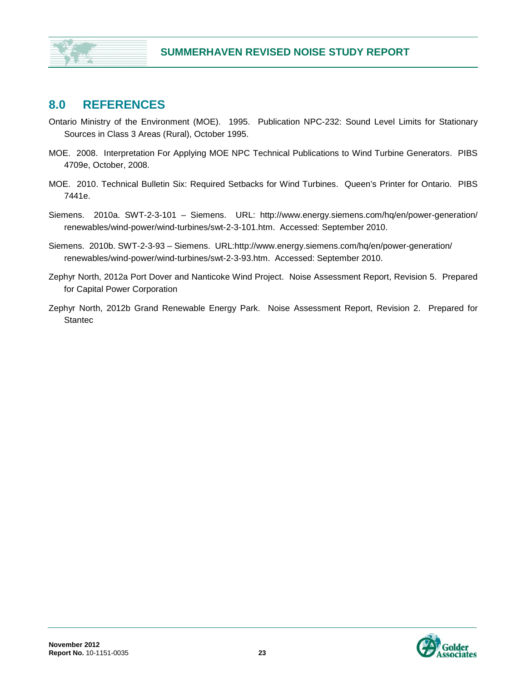## **8.0 REFERENCES**

- Ontario Ministry of the Environment (MOE). 1995. Publication NPC-232: Sound Level Limits for Stationary Sources in Class 3 Areas (Rural), October 1995.
- MOE. 2008. Interpretation For Applying MOE NPC Technical Publications to Wind Turbine Generators. PIBS 4709e, October, 2008.
- MOE. 2010. Technical Bulletin Six: Required Setbacks for Wind Turbines. Queen's Printer for Ontario. PIBS 7441e.
- Siemens. 2010a. SWT-2-3-101 Siemens. URL: http://www.energy.siemens.com/hq/en/power-generation/ renewables/wind-power/wind-turbines/swt-2-3-101.htm. Accessed: September 2010.
- Siemens. 2010b. SWT-2-3-93 Siemens. URL:http://www.energy.siemens.com/hq/en/power-generation/ renewables/wind-power/wind-turbines/swt-2-3-93.htm. Accessed: September 2010.
- Zephyr North, 2012a Port Dover and Nanticoke Wind Project. Noise Assessment Report, Revision 5. Prepared for Capital Power Corporation
- Zephyr North, 2012b Grand Renewable Energy Park. Noise Assessment Report, Revision 2. Prepared for **Stantec**

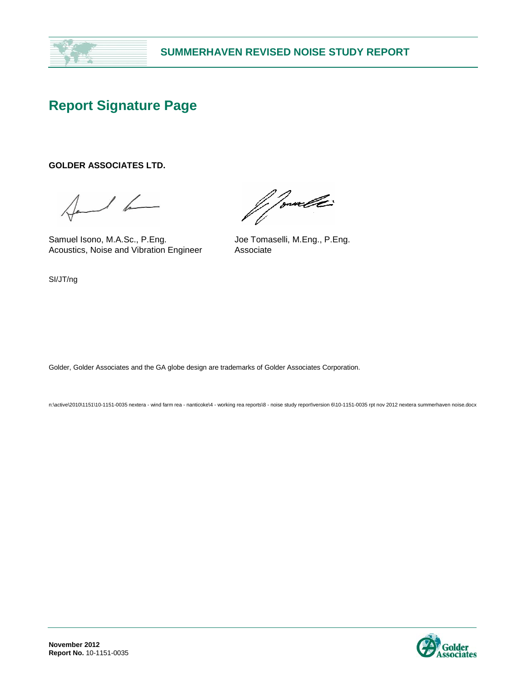

# **Report Signature Page**

#### **GOLDER ASSOCIATES LTD.**

 $1 - 16$ 

Samuel Isono, M.A.Sc., P.Eng. Joe Tomaselli, M.Eng., P.Eng. Acoustics, Noise and Vibration Engineer Associate

*Monald* 

SI/JT/ng

Golder, Golder Associates and the GA globe design are trademarks of Golder Associates Corporation.

n:\active\2010\1151\10-1151-0035 nextera - wind farm rea - nanticoke\4 - working rea reports\8 - noise study report\version 6\10-1151-0035 rpt nov 2012 nextera summerhaven noise.docx